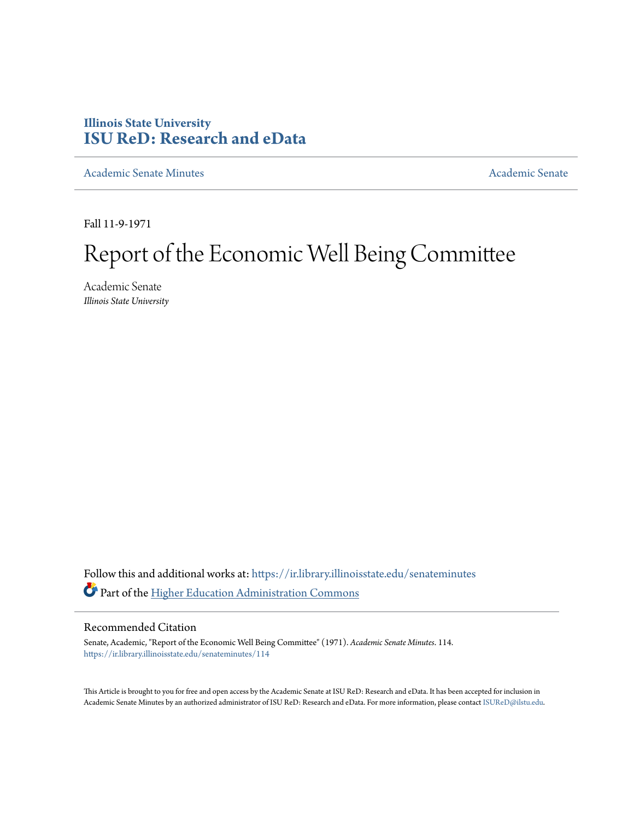## **Illinois State University [ISU ReD: Research and eData](https://ir.library.illinoisstate.edu?utm_source=ir.library.illinoisstate.edu%2Fsenateminutes%2F114&utm_medium=PDF&utm_campaign=PDFCoverPages)**

[Academic Senate Minutes](https://ir.library.illinoisstate.edu/senateminutes?utm_source=ir.library.illinoisstate.edu%2Fsenateminutes%2F114&utm_medium=PDF&utm_campaign=PDFCoverPages) [Academic Senate](https://ir.library.illinoisstate.edu/senate?utm_source=ir.library.illinoisstate.edu%2Fsenateminutes%2F114&utm_medium=PDF&utm_campaign=PDFCoverPages) Academic Senate

Fall 11-9-1971

## Report of the Economic Well Being Committee

Academic Senate *Illinois State University*

Follow this and additional works at: [https://ir.library.illinoisstate.edu/senateminutes](https://ir.library.illinoisstate.edu/senateminutes?utm_source=ir.library.illinoisstate.edu%2Fsenateminutes%2F114&utm_medium=PDF&utm_campaign=PDFCoverPages) Part of the [Higher Education Administration Commons](http://network.bepress.com/hgg/discipline/791?utm_source=ir.library.illinoisstate.edu%2Fsenateminutes%2F114&utm_medium=PDF&utm_campaign=PDFCoverPages)

## Recommended Citation

Senate, Academic, "Report of the Economic Well Being Committee" (1971). *Academic Senate Minutes*. 114. [https://ir.library.illinoisstate.edu/senateminutes/114](https://ir.library.illinoisstate.edu/senateminutes/114?utm_source=ir.library.illinoisstate.edu%2Fsenateminutes%2F114&utm_medium=PDF&utm_campaign=PDFCoverPages)

This Article is brought to you for free and open access by the Academic Senate at ISU ReD: Research and eData. It has been accepted for inclusion in Academic Senate Minutes by an authorized administrator of ISU ReD: Research and eData. For more information, please contact [ISUReD@ilstu.edu.](mailto:ISUReD@ilstu.edu)